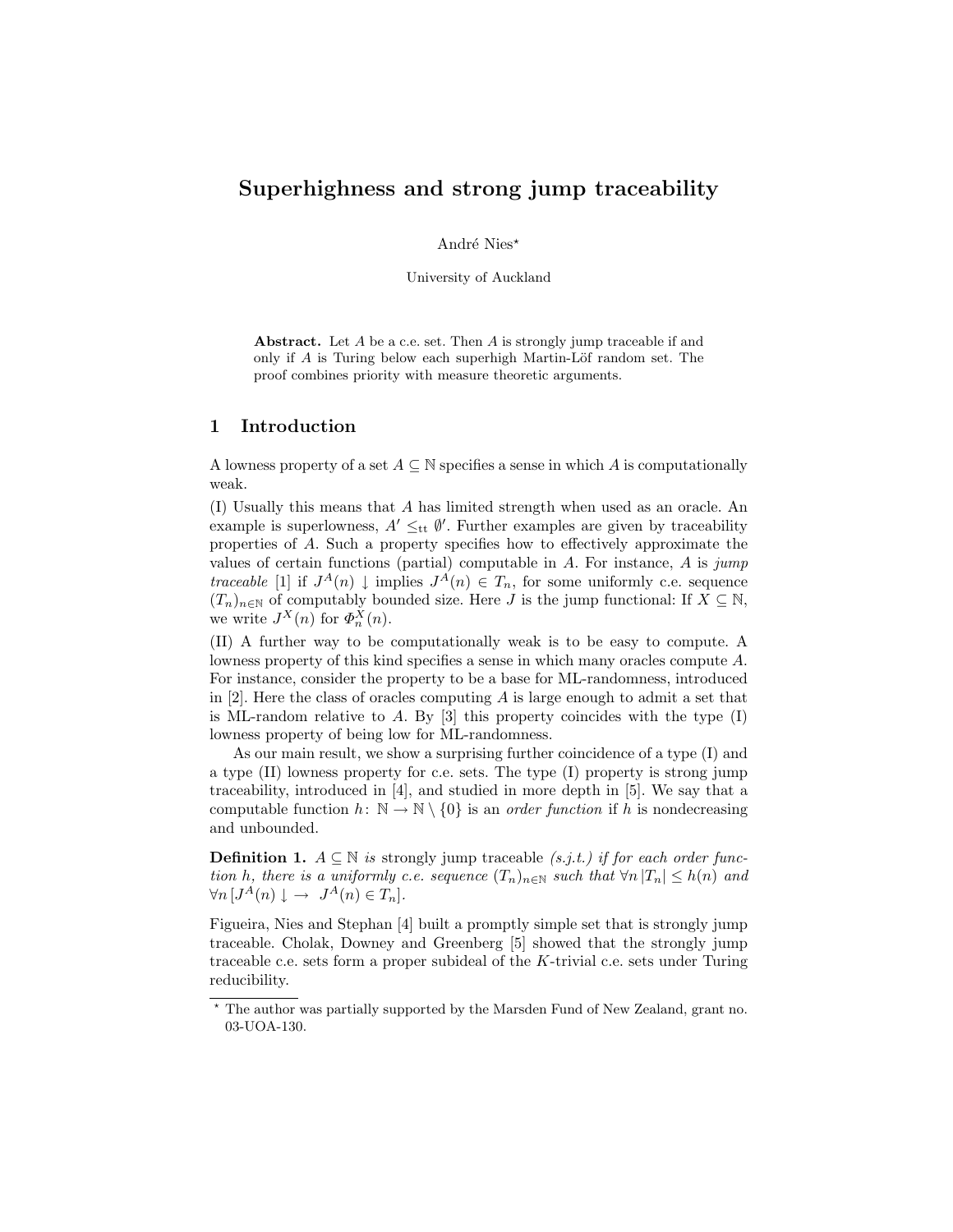### Superhighness and strong jump traceability

André Nies\*

University of Auckland

Abstract. Let A be a c.e. set. Then A is strongly jump traceable if and only if  $A$  is Turing below each superhigh Martin-Löf random set. The proof combines priority with measure theoretic arguments.

#### 1 Introduction

A lowness property of a set  $A \subseteq \mathbb{N}$  specifies a sense in which A is computationally weak.

(I) Usually this means that A has limited strength when used as an oracle. An example is superlowness,  $A' \leq_{tt} \emptyset'$ . Further examples are given by traceability properties of A. Such a property specifies how to effectively approximate the values of certain functions (partial) computable in  $A$ . For instance,  $A$  is jump traceable [1] if  $J^A(n) \downarrow$  implies  $J^A(n) \in T_n$ , for some uniformly c.e. sequence  $(T_n)_{n\in\mathbb{N}}$  of computably bounded size. Here J is the jump functional: If  $X\subseteq\mathbb{N}$ , we write  $J^X(n)$  for  $\Phi_n^X(n)$ .

(II) A further way to be computationally weak is to be easy to compute. A lowness property of this kind specifies a sense in which many oracles compute A. For instance, consider the property to be a base for ML-randomness, introduced in [2]. Here the class of oracles computing A is large enough to admit a set that is ML-random relative to A. By  $[3]$  this property coincides with the type  $(I)$ lowness property of being low for ML-randomness.

As our main result, we show a surprising further coincidence of a type (I) and a type (II) lowness property for c.e. sets. The type (I) property is strong jump traceability, introduced in [4], and studied in more depth in [5]. We say that a computable function  $h: \mathbb{N} \to \mathbb{N} \setminus \{0\}$  is an *order function* if h is nondecreasing and unbounded.

**Definition 1.**  $A \subseteq \mathbb{N}$  is strongly jump traceable (s.j.t.) if for each order function h, there is a uniformly c.e. sequence  $(T_n)_{n\in\mathbb{N}}$  such that  $\forall n |T_n| \leq h(n)$  and  $\forall n \left[ J^A(n) \downarrow \rightarrow J^A(n) \in T_n \right].$ 

Figueira, Nies and Stephan [4] built a promptly simple set that is strongly jump traceable. Cholak, Downey and Greenberg [5] showed that the strongly jump traceable c.e. sets form a proper subideal of the  $K$ -trivial c.e. sets under Turing reducibility.

 $^{\star}$  The author was partially supported by the Marsden Fund of New Zealand, grant no. 03-UOA-130.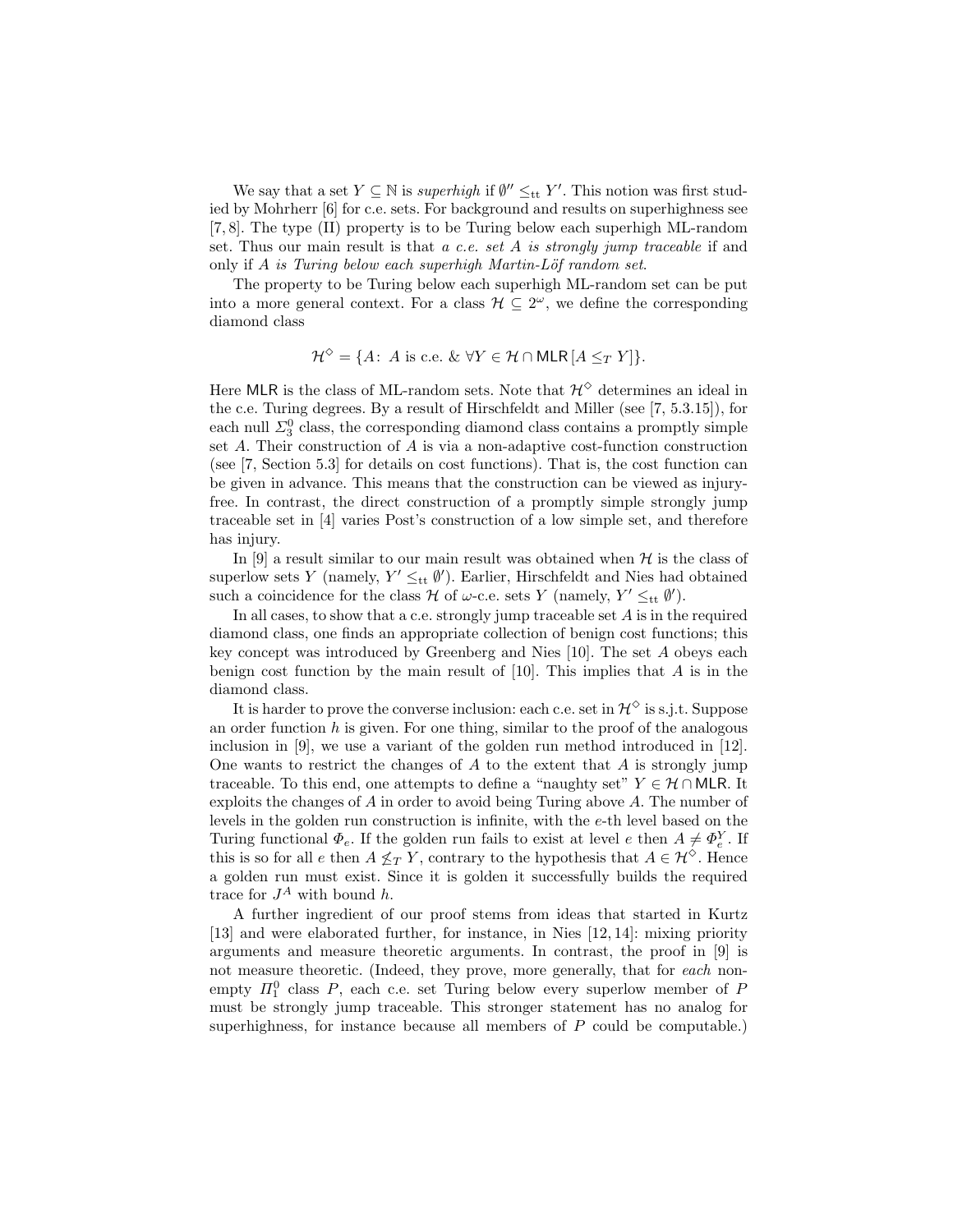We say that a set  $Y \subseteq \mathbb{N}$  is *superhigh* if  $\emptyset'' \leq_{\text{tt}} Y'$ . This notion was first studied by Mohrherr [6] for c.e. sets. For background and results on superhighness see [7, 8]. The type (II) property is to be Turing below each superhigh ML-random set. Thus our main result is that  $a$  c.e. set  $A$  is strongly jump traceable if and only if  $A$  is Turing below each superhigh Martin-Löf random set.

The property to be Turing below each superhigh ML-random set can be put into a more general context. For a class  $\mathcal{H} \subseteq 2^{\omega}$ , we define the corresponding diamond class

$$
\mathcal{H}^{\diamondsuit} = \{ A : A \text{ is c.e. } \& \forall Y \in \mathcal{H} \cap \mathsf{MLR} \, [A \leq_T Y] \}.
$$

Here MLR is the class of ML-random sets. Note that  $\mathcal{H}^{\diamond}$  determines an ideal in the c.e. Turing degrees. By a result of Hirschfeldt and Miller (see [7, 5.3.15]), for each null  $\Sigma^0_3$  class, the corresponding diamond class contains a promptly simple set A. Their construction of A is via a non-adaptive cost-function construction (see [7, Section 5.3] for details on cost functions). That is, the cost function can be given in advance. This means that the construction can be viewed as injuryfree. In contrast, the direct construction of a promptly simple strongly jump traceable set in [4] varies Post's construction of a low simple set, and therefore has injury.

In [9] a result similar to our main result was obtained when  $H$  is the class of superlow sets Y (namely,  $Y' \leq_{\text{tt}} \emptyset'$ ). Earlier, Hirschfeldt and Nies had obtained such a coincidence for the class  $\mathcal H$  of  $\omega$ -c.e. sets Y (namely,  $Y' \leq_{\text{tt}} \emptyset'$ ).

In all cases, to show that a c.e. strongly jump traceable set  $A$  is in the required diamond class, one finds an appropriate collection of benign cost functions; this key concept was introduced by Greenberg and Nies [10]. The set A obeys each benign cost function by the main result of  $[10]$ . This implies that A is in the diamond class.

It is harder to prove the converse inclusion: each c.e. set in  $\mathcal{H}^{\diamond}$  is s.j.t. Suppose an order function  $h$  is given. For one thing, similar to the proof of the analogous inclusion in [9], we use a variant of the golden run method introduced in [12]. One wants to restrict the changes of  $A$  to the extent that  $A$  is strongly jump traceable. To this end, one attempts to define a "naughty set"  $Y \in \mathcal{H} \cap \mathsf{MLR}$ . It exploits the changes of A in order to avoid being Turing above A. The number of levels in the golden run construction is infinite, with the e-th level based on the Turing functional  $\Phi_e$ . If the golden run fails to exist at level e then  $A \neq \Phi_e^Y$ . If this is so for all e then  $A \nleq_T Y$ , contrary to the hypothesis that  $A \in \mathcal{H}^{\diamond}$ . Hence a golden run must exist. Since it is golden it successfully builds the required trace for  $J^A$  with bound h.

A further ingredient of our proof stems from ideas that started in Kurtz [13] and were elaborated further, for instance, in Nies [12, 14]: mixing priority arguments and measure theoretic arguments. In contrast, the proof in [9] is not measure theoretic. (Indeed, they prove, more generally, that for each nonempty  $\Pi_1^0$  class P, each c.e. set Turing below every superlow member of P must be strongly jump traceable. This stronger statement has no analog for superhighness, for instance because all members of  $P$  could be computable.)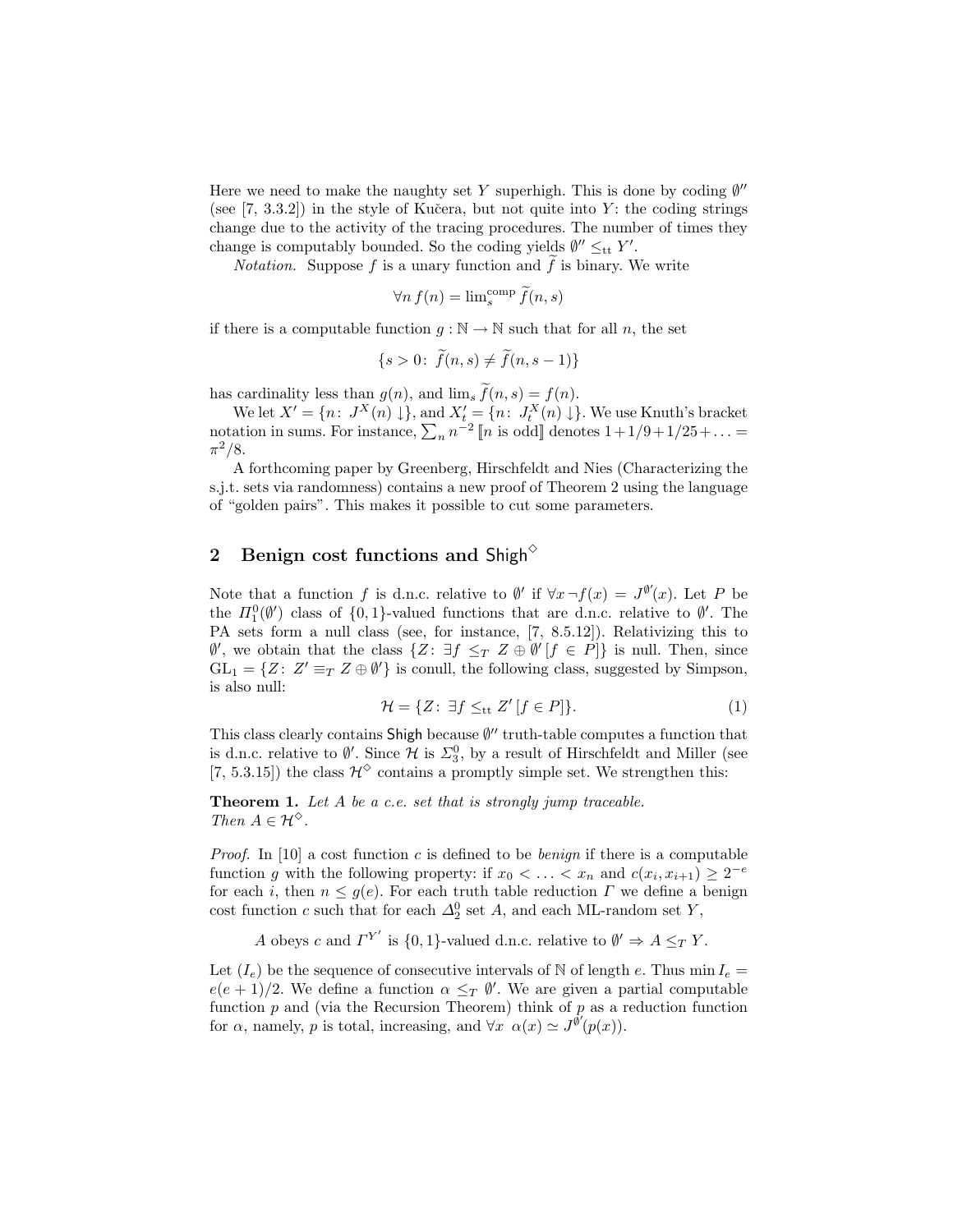Here we need to make the naughty set Y superhigh. This is done by coding  $\emptyset''$ (see  $[7, 3.3.2]$ ) in the style of Kučera, but not quite into Y: the coding strings change due to the activity of the tracing procedures. The number of times they change is computably bounded. So the coding yields  $\emptyset'' \leq_{\text{tt}} Y'$ .

*Notation.* Suppose  $f$  is a unary function and  $f$  is binary. We write

$$
\forall n \, f(n) = \lim_{s}^{\text{comp}} \tilde{f}(n, s)
$$

if there is a computable function  $g : \mathbb{N} \to \mathbb{N}$  such that for all n, the set

$$
\{s > 0: \ f(n, s) \neq f(n, s - 1)\}
$$

has cardinality less than  $g(n)$ , and  $\lim_{s} \widetilde{f}(n, s) = f(n)$ .

We let  $X' = \{n: J^X(n) \downarrow\}$ , and  $X'_t = \{n: J^X_t(n) \downarrow\}$ . We use Knuth's bracket notation in sums. For instance,  $\sum_n n^{-2} [n \text{ is odd}]$  denotes  $1+1/9+1/25+\ldots =$  $\pi^2/8$ .

A forthcoming paper by Greenberg, Hirschfeldt and Nies (Characterizing the s.j.t. sets via randomness) contains a new proof of Theorem 2 using the language of "golden pairs". This makes it possible to cut some parameters.

## 2 Benign cost functions and Shigh<sup> $\diamond$ </sup>

Note that a function f is d.n.c. relative to  $\emptyset'$  if  $\forall x \,\neg f(x) = J^{\emptyset'}(x)$ . Let P be the  $\Pi_1^0(\emptyset')$  class of  $\{0,1\}$ -valued functions that are d.n.c. relative to  $\emptyset'$ . The PA sets form a null class (see, for instance, [7, 8.5.12]). Relativizing this to  $\emptyset'$ , we obtain that the class  $\{Z: \exists f \leq_T Z \oplus \emptyset' [f \in P]\}$  is null. Then, since  $GL_1 = \{Z: Z' \equiv_T Z \oplus \emptyset'\}$  is conull, the following class, suggested by Simpson, is also null:

$$
\mathcal{H} = \{ Z \colon \exists f \leq_{\text{tt}} Z' \, [f \in P] \}. \tag{1}
$$

This class clearly contains Shigh because  $\emptyset$ " truth-table computes a function that is d.n.c. relative to  $\emptyset'$ . Since  $\mathcal H$  is  $\Sigma_3^0$ , by a result of Hirschfeldt and Miller (see [7, 5.3.15]) the class  $\mathcal{H}^{\diamond}$  contains a promptly simple set. We strengthen this:

Theorem 1. Let A be a c.e. set that is strongly jump traceable. Then  $A \in \mathcal{H}^{\diamond}$ .

*Proof.* In [10] a cost function c is defined to be *benign* if there is a computable function g with the following property: if  $x_0 < \ldots < x_n$  and  $c(x_i, x_{i+1}) \geq 2^{-e}$ for each i, then  $n \leq g(e)$ . For each truth table reduction  $\Gamma$  we define a benign cost function c such that for each  $\Delta_2^0$  set A, and each ML-random set Y,

A obeys c and  $\Gamma^{Y'}$  is {0, 1}-valued d.n.c. relative to  $\emptyset' \Rightarrow A \leq_T Y$ .

Let  $(I_e)$  be the sequence of consecutive intervals of N of length e. Thus min  $I_e =$  $e(e+1)/2$ . We define a function  $\alpha \leq_T \emptyset'$ . We are given a partial computable function  $p$  and (via the Recursion Theorem) think of  $p$  as a reduction function for  $\alpha$ , namely, p is total, increasing, and  $\forall x \alpha(x) \simeq J^{\hat{\theta}'}(p(x))$ .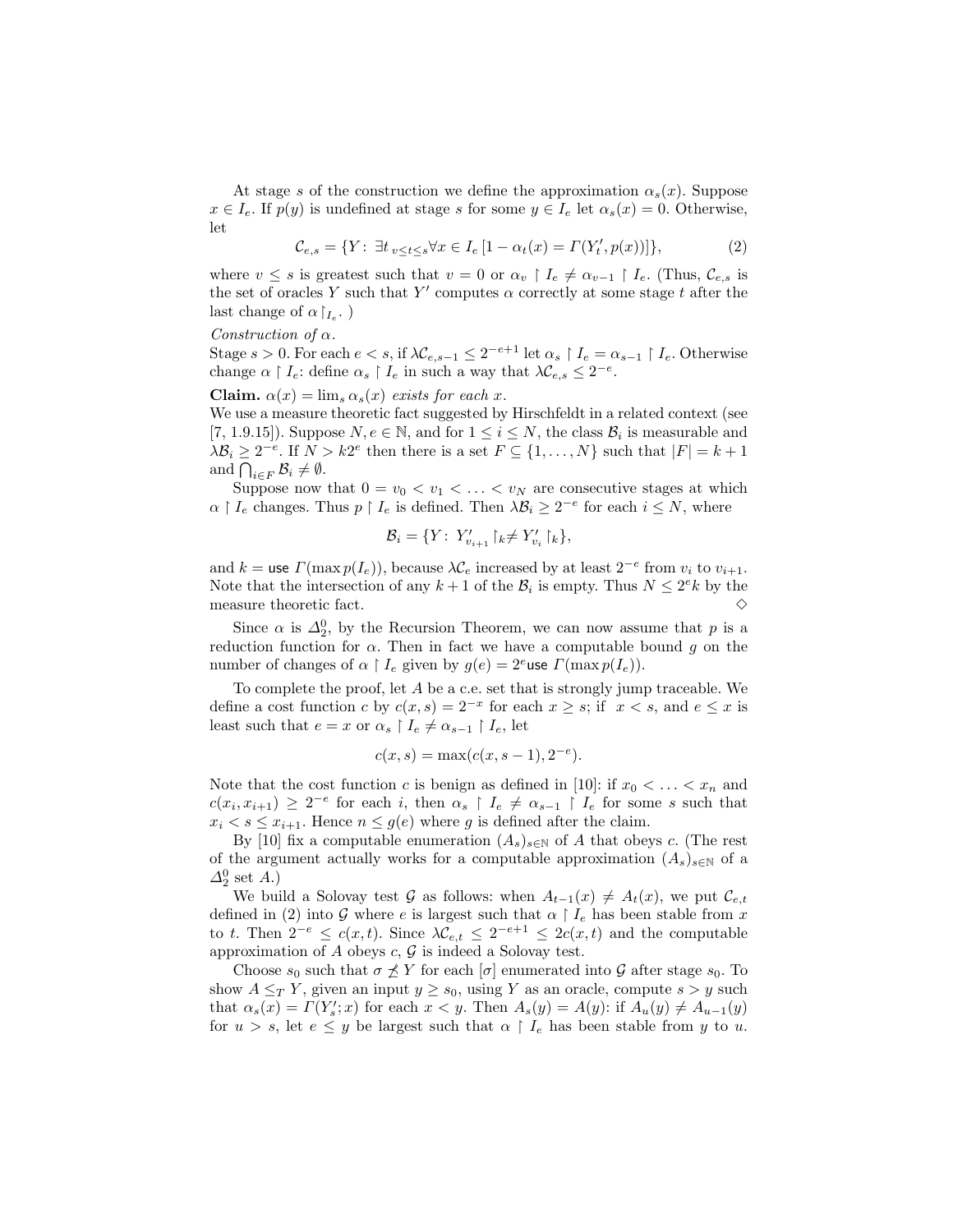At stage s of the construction we define the approximation  $\alpha_s(x)$ . Suppose  $x \in I_e$ . If  $p(y)$  is undefined at stage s for some  $y \in I_e$  let  $\alpha_s(x) = 0$ . Otherwise, let

$$
\mathcal{C}_{e,s} = \{ Y \colon \, \exists t_{v \le t \le s} \forall x \in I_e \, [1 - \alpha_t(x) = \Gamma(Y'_t, p(x))] \},\tag{2}
$$

where  $v \leq s$  is greatest such that  $v = 0$  or  $\alpha_v \restriction I_e \neq \alpha_{v-1} \restriction I_e$ . (Thus,  $\mathcal{C}_{e,s}$  is the set of oracles Y such that Y' computes  $\alpha$  correctly at some stage t after the last change of  $\alpha|_{I_e}$ .)

Construction of  $\alpha$ .

Stage  $s > 0$ . For each  $e < s$ , if  $\lambda \mathcal{C}_{e,s-1} \leq 2^{-e+1}$  let  $\alpha_s \restriction I_e = \alpha_{s-1} \restriction I_e$ . Otherwise change  $\alpha \restriction I_e$ : define  $\alpha_s \restriction I_e$  in such a way that  $\lambda \mathcal{C}_{e,s} \leq 2^{-e}$ .

Claim.  $\alpha(x) = \lim_{s \to s} \alpha_s(x)$  exists for each x.

We use a measure theoretic fact suggested by Hirschfeldt in a related context (see [7, 1.9.15]). Suppose  $N, e \in \mathbb{N}$ , and for  $1 \leq i \leq N$ , the class  $\mathcal{B}_i$  is measurable and  $\lambda \mathcal{B}_i \geq 2^{-e}$ . If  $N > k2^e$  then there is a set  $F \subseteq \{1, ..., N\}$  such that  $|F| = k + 1$ and  $\bigcap_{i\in F} \mathcal{B}_i \neq \emptyset$ .

Suppose now that  $0 = v_0 < v_1 < \ldots < v_N$  are consecutive stages at which  $\alpha \restriction I_e$  changes. Thus  $p \restriction I_e$  is defined. Then  $\lambda \mathcal{B}_i \geq 2^{-e}$  for each  $i \leq N$ , where

$$
\mathcal{B}_i = \{ Y \colon Y'_{v_{i+1}} \upharpoonright_k \neq Y'_{v_i} \upharpoonright_k \},
$$

and  $k =$  use  $\Gamma(\max p(I_e))$ , because  $\lambda \mathcal{C}_e$  increased by at least  $2^{-e}$  from  $v_i$  to  $v_{i+1}$ . Note that the intersection of any  $k+1$  of the  $\mathcal{B}_i$  is empty. Thus  $N \leq 2^ek$  by the measure theoretic fact.  $\Diamond$ 

Since  $\alpha$  is  $\Delta_2^0$ , by the Recursion Theorem, we can now assume that p is a reduction function for  $\alpha$ . Then in fact we have a computable bound g on the number of changes of  $\alpha \restriction I_e$  given by  $g(e) = 2^e$ use  $\Gamma(\max p(I_e)).$ 

To complete the proof, let A be a c.e. set that is strongly jump traceable. We define a cost function c by  $c(x, s) = 2^{-x}$  for each  $x \geq s$ ; if  $x < s$ , and  $e \leq x$  is least such that  $e = x$  or  $\alpha_s \upharpoonright I_e \neq \alpha_{s-1} \upharpoonright I_e$ , let

$$
c(x, s) = \max(c(x, s - 1), 2^{-e}).
$$

Note that the cost function c is benign as defined in [10]: if  $x_0 < \ldots < x_n$  and  $c(x_i, x_{i+1}) \geq 2^{-e}$  for each i, then  $\alpha_s \restriction I_e \neq \alpha_{s-1} \restriction I_e$  for some s such that  $x_i < s \leq x_{i+1}$ . Hence  $n \leq g(e)$  where g is defined after the claim.

By [10] fix a computable enumeration  $(A_s)_{s\in\mathbb{N}}$  of A that obeys c. (The rest of the argument actually works for a computable approximation  $(A_s)_{s\in\mathbb{N}}$  of a  $\Delta_2^0$  set A.)

We build a Solovay test G as follows: when  $A_{t-1}(x) \neq A_t(x)$ , we put  $\mathcal{C}_{e,t}$ defined in (2) into G where e is largest such that  $\alpha \restriction I_e$  has been stable from x to t. Then  $2^{-e} \leq c(x,t)$ . Since  $\lambda \mathcal{C}_{e,t} \leq 2^{-e+1} \leq 2c(x,t)$  and the computable approximation of  $A$  obeys  $c, \mathcal{G}$  is indeed a Solovay test.

Choose  $s_0$  such that  $\sigma \not\preceq Y$  for each  $[\sigma]$  enumerated into G after stage  $s_0$ . To show  $A \leq_T Y$ , given an input  $y \geq s_0$ , using Y as an oracle, compute  $s > y$  such that  $\alpha_s(x) = \Gamma(Y'_s; x)$  for each  $x < y$ . Then  $A_s(y) = A(y)$ : if  $A_u(y) \neq A_{u-1}(y)$ for  $u > s$ , let  $e \leq y$  be largest such that  $\alpha \restriction I_e$  has been stable from y to u.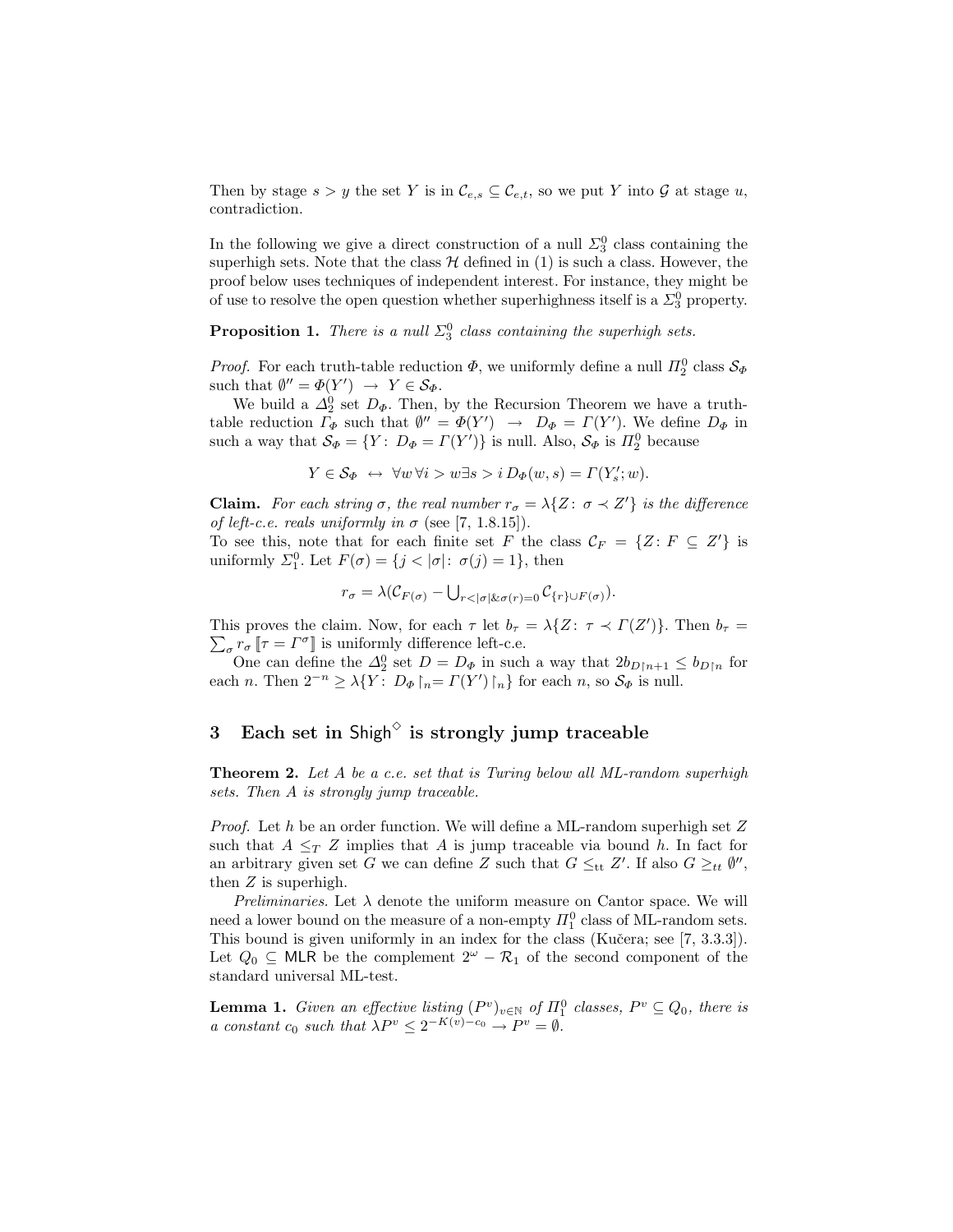Then by stage  $s > y$  the set Y is in  $\mathcal{C}_{e,s} \subseteq \mathcal{C}_{e,t}$ , so we put Y into G at stage u, contradiction.

In the following we give a direct construction of a null  $\Sigma_3^0$  class containing the superhigh sets. Note that the class  $\mathcal H$  defined in (1) is such a class. However, the proof below uses techniques of independent interest. For instance, they might be of use to resolve the open question whether superhighness itself is a  $\Sigma^0_3$  property.

**Proposition 1.** There is a null  $\Sigma_3^0$  class containing the superhigh sets.

*Proof.* For each truth-table reduction  $\Phi$ , we uniformly define a null  $\Pi_2^0$  class  $\mathcal{S}_{\Phi}$ such that  $\emptyset'' = \Phi(Y') \rightarrow Y \in \mathcal{S}_{\Phi}$ .

We build a  $\Delta_2^0$  set  $D_{\Phi}$ . Then, by the Recursion Theorem we have a truthtable reduction  $\Gamma_{\Phi}$  such that  $\emptyset'' = \Phi(Y') \rightarrow D_{\Phi} = \Gamma(Y')$ . We define  $D_{\Phi}$  in such a way that  $S_{\Phi} = \{ Y : D_{\Phi} = \Gamma(Y') \}$  is null. Also,  $S_{\Phi}$  is  $\Pi_2^0$  because

 $Y \in \mathcal{S}_{\Phi} \leftrightarrow \forall w \forall i > w \exists s > i D_{\Phi}(w, s) = \Gamma(Y'_{s}; w).$ 

**Claim.** For each string  $\sigma$ , the real number  $r_{\sigma} = \lambda \{Z : \sigma \prec Z'\}$  is the difference of left-c.e. reals uniformly in  $\sigma$  (see [7, 1.8.15]).

To see this, note that for each finite set F the class  $\mathcal{C}_F = \{Z : F \subseteq Z'\}$  is uniformly  $\Sigma_1^0$ . Let  $F(\sigma) = \{j < |\sigma|: \sigma(j) = 1\}$ , then

$$
r_{\sigma} = \lambda(\mathcal{C}_{F(\sigma)} - \bigcup_{r < |\sigma| \& \sigma(r) = 0} \mathcal{C}_{\{r\} \cup F(\sigma)}).
$$

This proves the claim. Now, for each  $\tau$  let  $b_{\tau} = \lambda \{ Z \colon \tau \prec \Gamma(Z') \}$ . Then  $b_{\tau} =$  $\sum_{\sigma} r_{\sigma} \, \llbracket \tau = \varGamma^{\sigma} \rrbracket$  is uniformly difference left-c.e.

One can define the  $\Delta_2^0$  set  $D = D_{\Phi}$  in such a way that  $2b_{D\upharpoonright n+1} \leq b_{D\upharpoonright n}$  for each n. Then  $2^{-n} \geq \lambda \{ Y : D_{\Phi} \nvert_n = \Gamma(Y') \nvert_n \}$  for each n, so  $S_{\Phi}$  is null.

# $3$   $\,$  Each set in Shigh $^\diamond$  is strongly jump traceable

**Theorem 2.** Let A be a c.e. set that is Turing below all ML-random superhigh sets. Then A is strongly jump traceable.

*Proof.* Let  $h$  be an order function. We will define a ML-random superhigh set  $Z$ such that  $A \leq_T Z$  implies that A is jump traceable via bound h. In fact for an arbitrary given set G we can define Z such that  $G \leq_{\text{tt}} Z'$ . If also  $G \geq_{tt} \emptyset''$ , then Z is superhigh.

Preliminaries. Let  $\lambda$  denote the uniform measure on Cantor space. We will need a lower bound on the measure of a non-empty  $\varPi^0_1$  class of ML-random sets. This bound is given uniformly in an index for the class (Kučera; see [7, 3.3.3]). Let  $Q_0 \subseteq$  MLR be the complement  $2^{\omega} - \mathcal{R}_1$  of the second component of the standard universal ML-test.

**Lemma 1.** Given an effective listing  $(P^v)_{v \in \mathbb{N}}$  of  $\Pi_1^0$  classes,  $P^v \subseteq Q_0$ , there is a constant  $c_0$  such that  $\lambda P^v \leq 2^{-K(v)-c_0} \to P^v = \emptyset$ .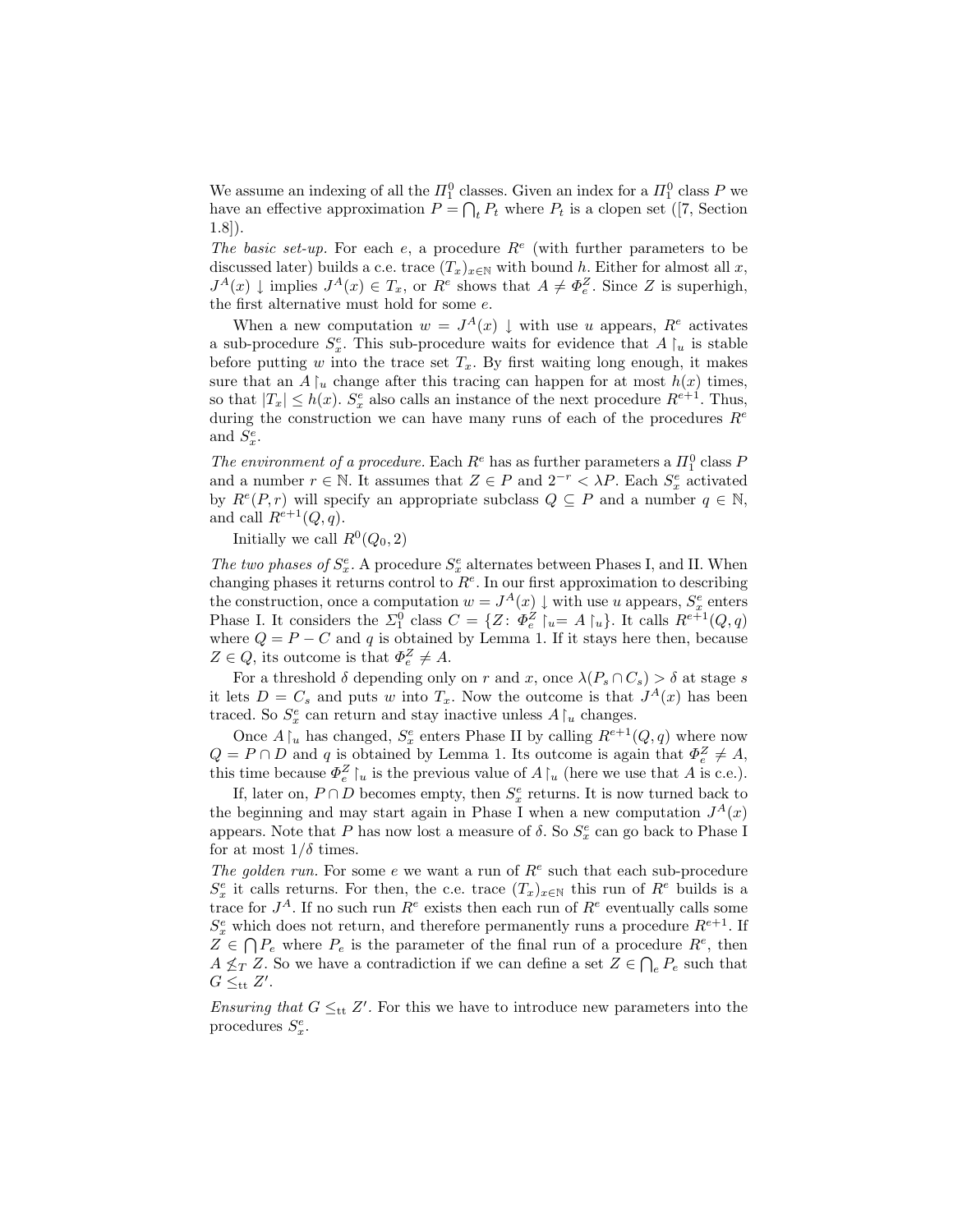We assume an indexing of all the  $\Pi_1^0$  classes. Given an index for a  $\Pi_1^0$  class P we have an effective approximation  $P = \bigcap_t P_t$  where  $P_t$  is a clopen set ([7, Section 1.8]).

The basic set-up. For each e, a procedure  $R^e$  (with further parameters to be discussed later) builds a c.e. trace  $(T_x)_{x\in\mathbb{N}}$  with bound h. Either for almost all x,  $J^A(x) \downarrow$  implies  $J^A(x) \in T_x$ , or  $R^e$  shows that  $A \neq \Phi_e^Z$ . Since Z is superhigh, the first alternative must hold for some e.

When a new computation  $w = J<sup>A</sup>(x) \downarrow$  with use u appears,  $R<sup>e</sup>$  activates a sub-procedure  $S_x^e$ . This sub-procedure waits for evidence that  $A\upharpoonright_u$  is stable before putting w into the trace set  $T_x$ . By first waiting long enough, it makes sure that an  $A\upharpoonright_u$  change after this tracing can happen for at most  $h(x)$  times, so that  $|T_x| \leq h(x)$ .  $S_x^e$  also calls an instance of the next procedure  $R^{e+1}$ . Thus, during the construction we can have many runs of each of the procedures  $R^e$ and  $S_x^e$ .

The environment of a procedure. Each  $R^e$  has as further parameters a  $\Pi_1^0$  class  $P$ and a number  $r \in \mathbb{N}$ . It assumes that  $Z \in P$  and  $2^{-r} < \lambda P$ . Each  $S_x^e$  activated by  $R^e(P,r)$  will specify an appropriate subclass  $Q \subseteq P$  and a number  $q \in \mathbb{N}$ , and call  $R^{e+1}(Q, q)$ .

Initially we call  $R^0(Q_0, 2)$ 

The two phases of  $S_x^e$ . A procedure  $S_x^e$  alternates between Phases I, and II. When changing phases it returns control to  $R<sup>e</sup>$ . In our first approximation to describing the construction, once a computation  $w = J^A(x) \downarrow$  with use u appears,  $S_x^e$  enters Phase I. It considers the  $\Sigma_1^0$  class  $C = \{Z : \Phi_e^Z \mid u = A \mid u\}$ . It calls  $R^{e+1}(Q, q)$ where  $Q = P - C$  and q is obtained by Lemma 1. If it stays here then, because  $Z \in Q$ , its outcome is that  $\Phi_e^Z \neq A$ .

For a threshold  $\delta$  depending only on r and x, once  $\lambda(P_s \cap C_s) > \delta$  at stage s it lets  $D = C_s$  and puts w into  $T_x$ . Now the outcome is that  $J^A(x)$  has been traced. So  $S_x^e$  can return and stay inactive unless  $A\upharpoonright_u$  changes.

Once  $A\upharpoonright_u$  has changed,  $S_x^e$  enters Phase II by calling  $R^{e+1}(Q, q)$  where now  $Q = P \cap D$  and q is obtained by Lemma 1. Its outcome is again that  $\Phi_e^Z \neq A$ , this time because  $\Phi_e^Z\upharpoonright_u$  is the previous value of  $A\upharpoonright_u$  (here we use that A is c.e.).

If, later on,  $P \cap D$  becomes empty, then  $S_x^e$  returns. It is now turned back to the beginning and may start again in Phase I when a new computation  $J^A(x)$ appears. Note that  $P$  has now lost a measure of  $\delta$ . So  $S_x^e$  can go back to Phase I for at most  $1/\delta$  times.

The golden run. For some e we want a run of  $R^e$  such that each sub-procedure  $S_x^e$  it calls returns. For then, the c.e. trace  $(T_x)_{x\in\mathbb{N}}$  this run of  $R^e$  builds is a trace for  $J^A$ . If no such run  $R^e$  exists then each run of  $R^e$  eventually calls some  $S_x^e$  which does not return, and therefore permanently runs a procedure  $R^{e+1}$ . If  $Z \in \bigcap P_e$  where  $P_e$  is the parameter of the final run of a procedure  $R^e$ , then  $A \nleq_T Z$ . So we have a contradiction if we can define a set  $Z \in \bigcap_e P_e$  such that  $G \leq_{\text{tt}} Z'.$ 

Ensuring that  $G \leq_{\text{tt}} Z'$ . For this we have to introduce new parameters into the procedures  $S_x^e$ .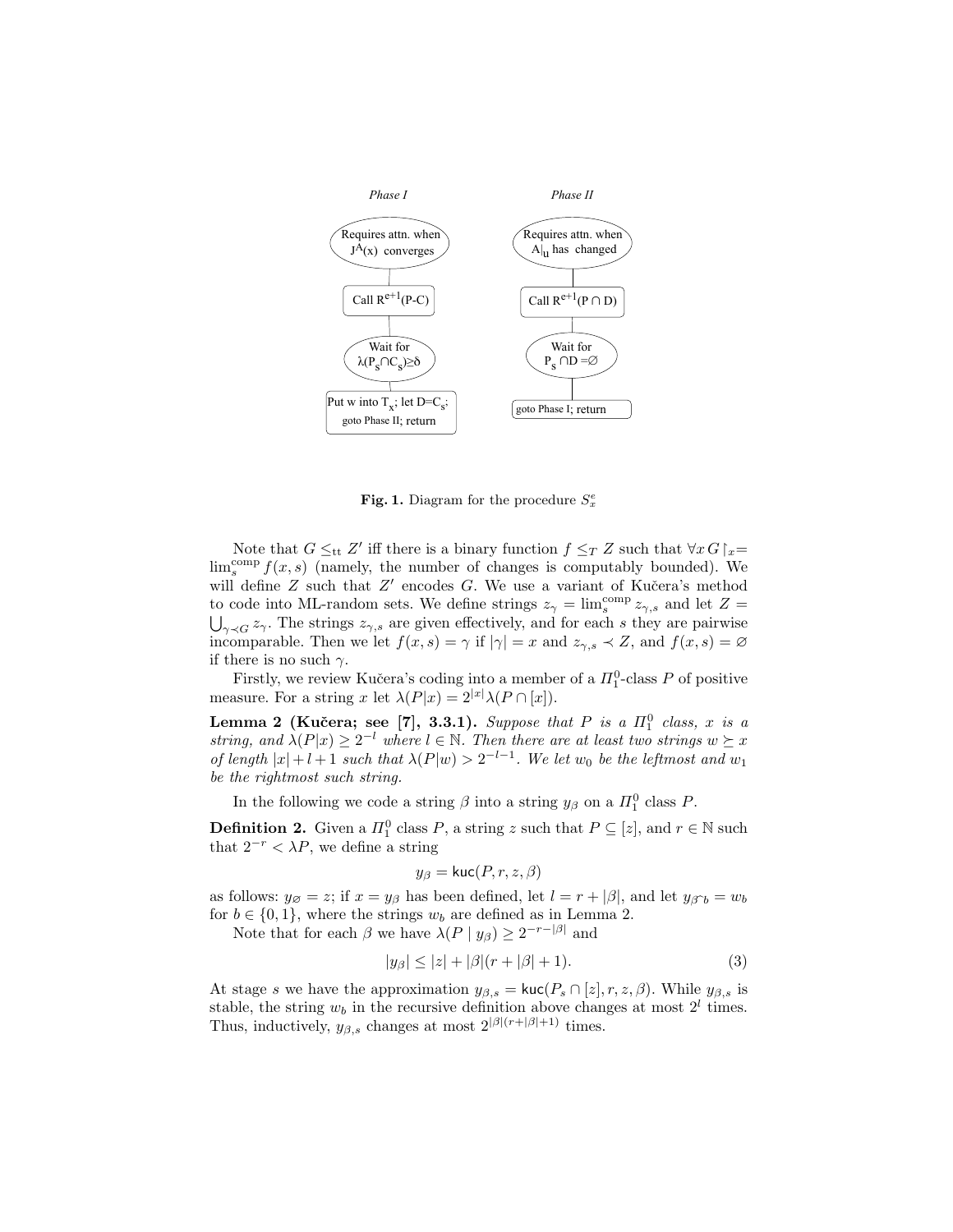

Fig. 1. Diagram for the procedure  $S_x^e$ 

Note that  $G \leq_{\text{tt}} Z'$  iff there is a binary function  $f \leq_T Z$  such that  $\forall x G\upharpoonright_x =$  $\lim_{s}^{\text{comp}} f(x, s)$  (namely, the number of changes is computably bounded). We will define  $Z$  such that  $Z'$  encodes  $G$ . We use a variant of Kučera's method to code into ML-random sets. We define strings  $z_{\gamma} = \lim_{s \to \infty} \exp z_{\gamma,s}$  and let  $Z =$  $\bigcup_{\gamma\prec G} z_{\gamma}$ . The strings  $z_{\gamma,s}$  are given effectively, and for each s they are pairwise incomparable. Then we let  $f(x, s) = \gamma$  if  $|\gamma| = x$  and  $z_{\gamma, s} \prec Z$ , and  $f(x, s) = \varnothing$ if there is no such  $\gamma$ .

Firstly, we review Kučera's coding into a member of a  $\Pi_1^0$ -class P of positive measure. For a string x let  $\lambda(P|x) = 2^{|x|} \lambda(P \cap [x]).$ 

Lemma 2 (Kučera; see [7], 3.3.1). Suppose that P is a  $\Pi_1^0$  class, x is a string, and  $\lambda(P|x) \geq 2^{-l}$  where  $l \in \mathbb{N}$ . Then there are at least two strings  $w \succeq x$ of length  $|x|+l+1$  such that  $\lambda(P|w) > 2^{-l-1}$ . We let  $w_0$  be the leftmost and  $w_1$ be the rightmost such string.

In the following we code a string  $\beta$  into a string  $y_{\beta}$  on a  $\Pi_1^0$  class P.

**Definition 2.** Given a  $\Pi_1^0$  class P, a string z such that  $P \subseteq [z]$ , and  $r \in \mathbb{N}$  such that  $2^{-r} < \lambda P$ , we define a string

$$
y_{\beta} = \text{kuc}(P, r, z, \beta)
$$

as follows:  $y_{\emptyset} = z$ ; if  $x = y_{\emptyset}$  has been defined, let  $l = r + |\beta|$ , and let  $y_{\emptyset} = w_b$ for  $b \in \{0, 1\}$ , where the strings  $w_b$  are defined as in Lemma 2.

Note that for each  $\beta$  we have  $\lambda(P \mid y_{\beta}) \geq 2^{-r-|\beta|}$  and

$$
|y_{\beta}| \le |z| + |\beta|(r + |\beta| + 1). \tag{3}
$$

At stage s we have the approximation  $y_{\beta,s} = \text{kuc}(P_s \cap [z], r, z, \beta)$ . While  $y_{\beta,s}$  is stable, the string  $w_b$  in the recursive definition above changes at most  $2^l$  times. Thus, inductively,  $y_{\beta,s}$  changes at most  $2^{|\beta|(r+|\beta|+1)}$  times.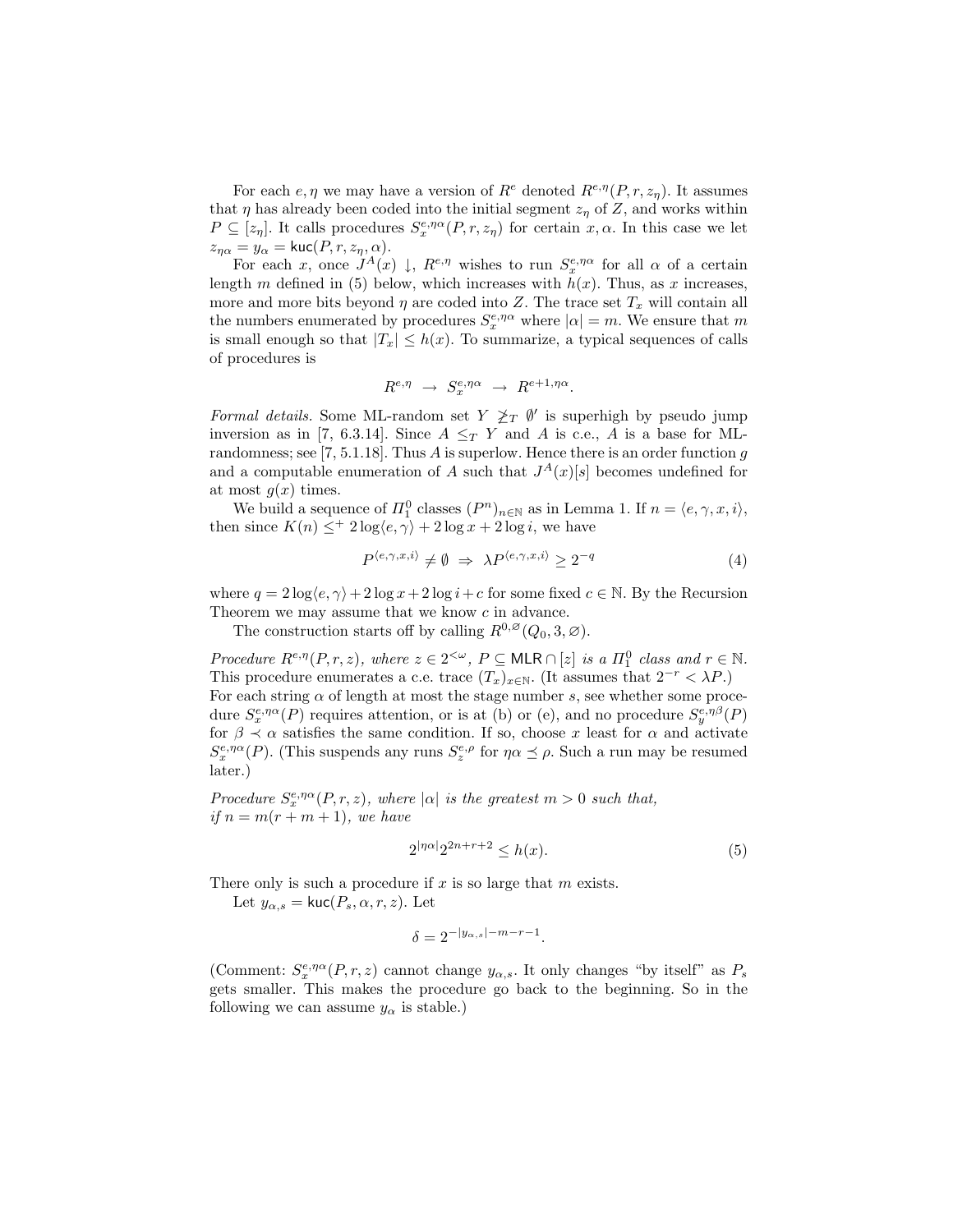For each  $e, \eta$  we may have a version of  $R^e$  denoted  $R^{e,\eta}(P, r, z_n)$ . It assumes that  $\eta$  has already been coded into the initial segment  $z_{\eta}$  of Z, and works within  $P \subseteq [z_\eta]$ . It calls procedures  $S_x^{e,\eta\alpha}(P,r,z_\eta)$  for certain  $x,\alpha$ . In this case we let  $z_{\eta\alpha} = y_{\alpha} = \text{kuc}(P, r, z_{\eta}, \alpha).$ 

For each x, once  $J^A(x) \downarrow$ ,  $R^{e,\eta}$  wishes to run  $S_x^{e,\eta\alpha}$  for all  $\alpha$  of a certain length m defined in (5) below, which increases with  $h(x)$ . Thus, as x increases, more and more bits beyond  $\eta$  are coded into Z. The trace set  $T_x$  will contain all the numbers enumerated by procedures  $S_x^{e,\eta\alpha}$  where  $|\alpha|=m$ . We ensure that m is small enough so that  $|T_x| \leq h(x)$ . To summarize, a typical sequences of calls of procedures is

$$
R^{e,\eta} \rightarrow S_x^{e,\eta\alpha} \rightarrow R^{e+1,\eta\alpha}.
$$

Formal details. Some ML-random set  $Y \not\geq_T \emptyset'$  is superhigh by pseudo jump inversion as in [7, 6.3.14]. Since  $A \leq_T Y$  and A is c.e., A is a base for MLrandomness; see  $[7, 5.1.18]$ . Thus A is superlow. Hence there is an order function q and a computable enumeration of A such that  $J<sup>A</sup>(x)[s]$  becomes undefined for at most  $g(x)$  times.

We build a sequence of  $\Pi_1^0$  classes  $(P^n)_{n \in \mathbb{N}}$  as in Lemma 1. If  $n = \langle e, \gamma, x, i \rangle$ , then since  $K(n) \leq^+ 2 \log \langle e, \gamma \rangle + 2 \log x + 2 \log i$ , we have

$$
P^{\langle e,\gamma,x,i\rangle} \neq \emptyset \Rightarrow \lambda P^{\langle e,\gamma,x,i\rangle} \ge 2^{-q} \tag{4}
$$

where  $q = 2 \log \langle e, \gamma \rangle + 2 \log x + 2 \log i + c$  for some fixed  $c \in \mathbb{N}$ . By the Recursion Theorem we may assume that we know c in advance.

The construction starts off by calling  $R^{0,\varnothing}(Q_0,3,\varnothing)$ .

Procedure  $R^{e,\eta}(P,r,z)$ , where  $z \in 2^{<\omega}$ ,  $P \subseteq \mathsf{MLR} \cap [z]$  is a  $\Pi_1^0$  class and  $r \in \mathbb{N}$ . This procedure enumerates a c.e. trace  $(T_x)_{x\in\mathbb{N}}$ . (It assumes that  $2^{-r} < \lambda P$ .) For each string  $\alpha$  of length at most the stage number s, see whether some procedure  $S_x^{e,\eta\alpha}(P)$  requires attention, or is at (b) or (e), and no procedure  $S_y^{e,\eta\beta}(P)$ for  $\beta \prec \alpha$  satisfies the same condition. If so, choose x least for  $\alpha$  and activate  $S_x^{e,\eta\alpha}(P)$ . (This suspends any runs  $S_z^{e,\rho}$  for  $\eta\alpha \preceq \rho$ . Such a run may be resumed later.)

Procedure  $S_x^{e,\eta\alpha}(P,r,z)$ , where  $|\alpha|$  is the greatest  $m > 0$  such that, if  $n = m(r + m + 1)$ , we have

$$
2^{|\eta\alpha|}2^{2n+r+2} \le h(x). \tag{5}
$$

There only is such a procedure if  $x$  is so large that  $m$  exists.

Let  $y_{\alpha,s} = \text{kuc}(P_s, \alpha, r, z)$ . Let

$$
\delta = 2^{-|y_{\alpha,s}| - m - r - 1}.
$$

(Comment:  $S_x^{e,\eta\alpha}(P,r,z)$  cannot change  $y_{\alpha,s}$ . It only changes "by itself" as  $P_s$ gets smaller. This makes the procedure go back to the beginning. So in the following we can assume  $y_\alpha$  is stable.)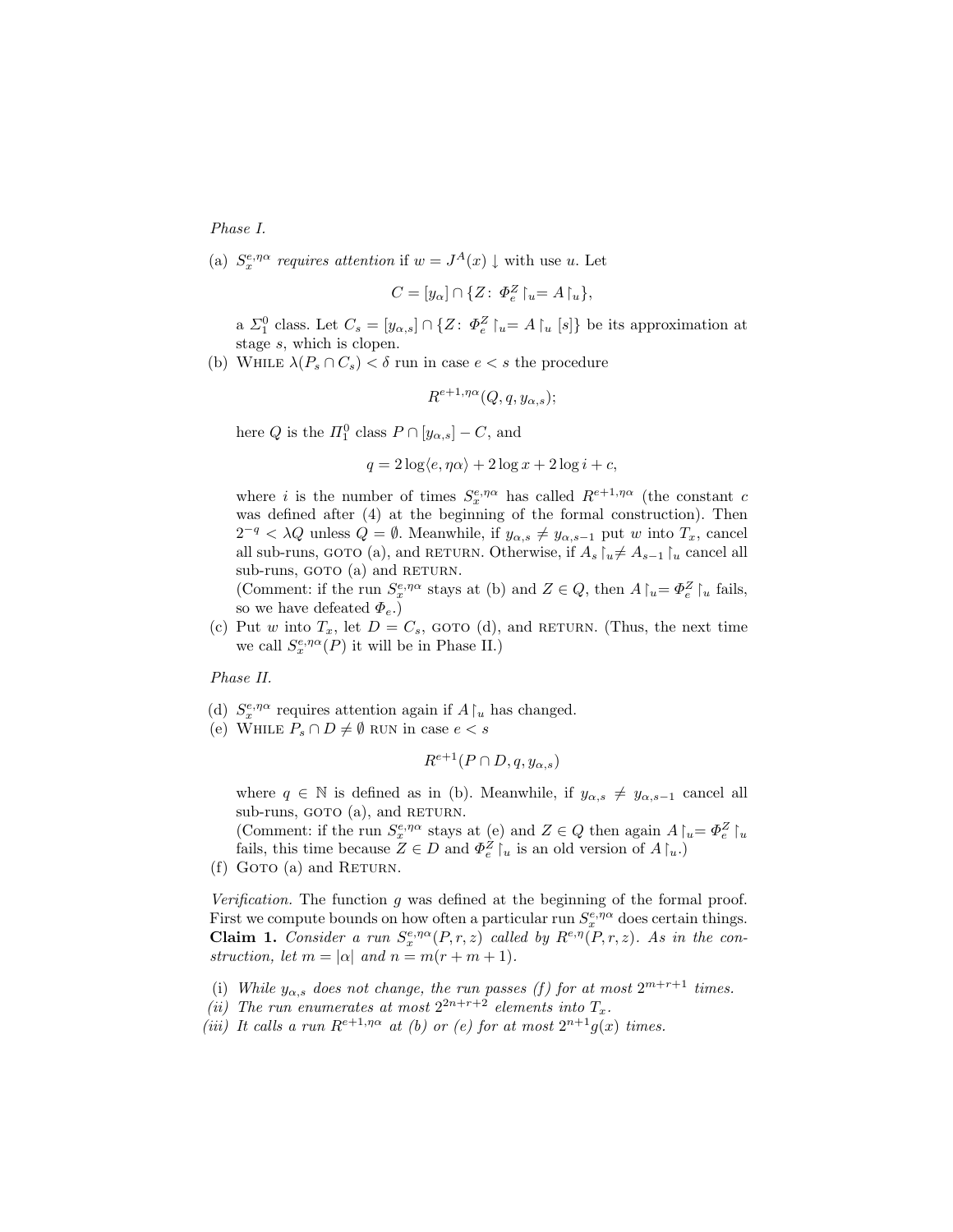Phase I.

(a)  $S_x^{e,\eta\alpha}$  requires attention if  $w = J^A(x) \downarrow$  with use u. Let

$$
C = [y_{\alpha}] \cap \{Z \colon \varPhi_e^Z \upharpoonright_u = A \upharpoonright_u \},
$$

a  $\Sigma_1^0$  class. Let  $C_s = [y_{\alpha,s}] \cap \{Z: \Phi_e^Z \upharpoonright_u = A \upharpoonright_u [s]\}$  be its approximation at stage s, which is clopen.

(b) WHILE  $\lambda(P_s \cap C_s) < \delta$  run in case  $e < s$  the procedure

$$
R^{e+1,\eta\alpha}(Q,q,y_{\alpha,s});
$$

here Q is the  $\Pi_1^0$  class  $P \cap [y_{\alpha,s}] - C$ , and

$$
q = 2\log\langle e, \eta\alpha \rangle + 2\log x + 2\log i + c,
$$

where *i* is the number of times  $S_x^{e,\eta\alpha}$  has called  $R^{e+1,\eta\alpha}$  (the constant c was defined after (4) at the beginning of the formal construction). Then  $2^{-q} < \lambda Q$  unless  $Q = \emptyset$ . Meanwhile, if  $y_{\alpha,s} \neq y_{\alpha,s-1}$  put w into  $T_x$ , cancel all sub-runs, GOTO (a), and RETURN. Otherwise, if  $A_s \upharpoonright_u \neq A_{s-1} \upharpoonright_u$  cancel all sub-runs, GOTO (a) and RETURN.

(Comment: if the run  $S_x^{e,\eta\alpha}$  stays at (b) and  $Z \in Q$ , then  $A\upharpoonright_u = \Phi_e^Z\upharpoonright_u$  fails, so we have defeated  $\Phi_e$ .)

(c) Put w into  $T_x$ , let  $D = C_s$ , GOTO (d), and RETURN. (Thus, the next time we call  $S_x^{e,\eta\alpha}(P)$  it will be in Phase II.)

Phase II.

- (d)  $S_x^{e, \eta \alpha}$  requires attention again if  $A\!\upharpoonright_u$  has changed.
- (e) WHILE  $P_s \cap D \neq \emptyset$  RUN in case  $e < s$

$$
R^{e+1}(P \cap D, q, y_{\alpha,s})
$$

where  $q \in \mathbb{N}$  is defined as in (b). Meanwhile, if  $y_{\alpha,s} \neq y_{\alpha,s-1}$  cancel all sub-runs, GOTO (a), and RETURN.

(Comment: if the run  $S_x^{e,\eta\alpha}$  stays at (e) and  $Z \in Q$  then again  $A \upharpoonright_u = \Phi_e^Z \upharpoonright_u$ fails, this time because  $Z \in D$  and  $\Phi_e^Z \mid_u$  is an old version of  $A \mid_u$ .

 $(f)$  Goto  $(a)$  and RETURN.

Verification. The function g was defined at the beginning of the formal proof. First we compute bounds on how often a particular run  $S_x^{e,\eta\alpha}$  does certain things. **Claim 1.** Consider a run  $S_x^{e,\eta\alpha}(P,r,z)$  called by  $R^{e,\eta}(P,r,z)$ . As in the construction, let  $m = |\alpha|$  and  $n = m(r + m + 1)$ .

- (i) While  $y_{\alpha,s}$  does not change, the run passes (f) for at most  $2^{m+r+1}$  times.
- (ii) The run enumerates at most  $2^{2n+r+2}$  elements into  $T_x$ .
- (iii) It calls a run  $R^{e+1,\eta\alpha}$  at (b) or (e) for at most  $2^{n+1}g(x)$  times.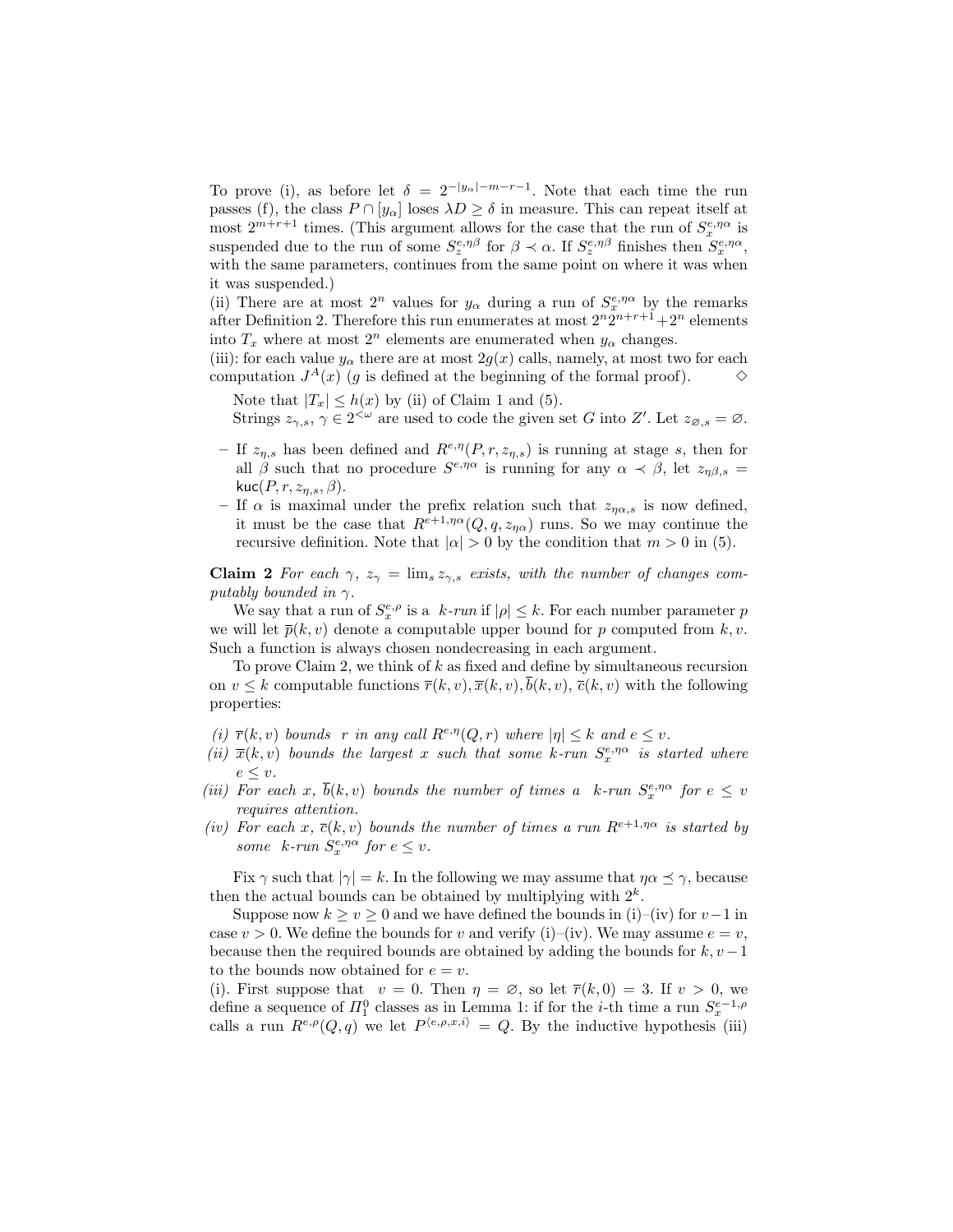To prove (i), as before let  $\delta = 2^{-|y_{\alpha}| - m - r - 1}$ . Note that each time the run passes (f), the class  $P \cap [y_\alpha]$  loses  $\lambda D \ge \delta$  in measure. This can repeat itself at most  $2^{m+r+1}$  times. (This argument allows for the case that the run of  $S_x^{e,\eta\alpha}$  is suspended due to the run of some  $S_z^{e,\eta\beta}$  for  $\beta \prec \alpha$ . If  $S_z^{e,\eta\beta}$  finishes then  $S_x^{e,\eta\alpha}$ , with the same parameters, continues from the same point on where it was when it was suspended.)

(ii) There are at most  $2^n$  values for  $y_\alpha$  during a run of  $S_x^{e,\eta\alpha}$  by the remarks after Definition 2. Therefore this run enumerates at most  $2^n 2^{n+r+1} + 2^n$  elements into  $T_x$  where at most  $2^n$  elements are enumerated when  $y_\alpha$  changes.

(iii): for each value  $y_\alpha$  there are at most  $2g(x)$  calls, namely, at most two for each computation  $J^A(x)$  (g is defined at the beginning of the formal proof).  $\Diamond$ 

Note that  $|T_x| \leq h(x)$  by (ii) of Claim 1 and (5). Strings  $z_{\gamma,s}$ ,  $\gamma \in 2^{<\omega}$  are used to code the given set G into Z'. Let  $z_{\varnothing,s} = \varnothing$ .

- If  $z_{\eta,s}$  has been defined and  $R^{e,\eta}(P,r,z_{\eta,s})$  is running at stage s, then for all  $\beta$  such that no procedure  $S^{\epsilon,\eta\alpha}$  is running for any  $\alpha \prec \beta$ , let  $z_{\eta\beta,s}$ kuc $(P, r, z_{n,s}, \beta)$ .
- If  $\alpha$  is maximal under the prefix relation such that  $z_{n\alpha,s}$  is now defined, it must be the case that  $R^{e+1,\eta\alpha}(Q, q, z_{n\alpha})$  runs. So we may continue the recursive definition. Note that  $|\alpha| > 0$  by the condition that  $m > 0$  in (5).

Claim 2 For each  $\gamma$ ,  $z_{\gamma} = \lim_{s \to \infty} z_{\gamma,s}$  exists, with the number of changes computably bounded in  $\gamma$ .

We say that a run of  $S_x^{e,\rho}$  is a  $k\text{-}run$  if  $|\rho| \leq k$ . For each number parameter p we will let  $\bar{p}(k, v)$  denote a computable upper bound for p computed from k, v. Such a function is always chosen nondecreasing in each argument.

To prove Claim 2, we think of  $k$  as fixed and define by simultaneous recursion on  $v \leq k$  computable functions  $\overline{r}(k, v), \overline{x}(k, v), b(k, v), \overline{c}(k, v)$  with the following properties:

- (i)  $\overline{r}(k, v)$  bounds r in any call  $R^{e, \eta}(Q, r)$  where  $|\eta| \leq k$  and  $e \leq v$ .
- (ii)  $\bar{x}(k, v)$  bounds the largest x such that some k-run  $S_x^{e, \eta\alpha}$  is started where  $e \leq v$ .
- (iii) For each x,  $\bar{b}(k, v)$  bounds the number of times a k-run  $S_x^{e, \eta\alpha}$  for  $e \leq v$ requires attention.
- (iv) For each x,  $\bar{c}(k, v)$  bounds the number of times a run  $R^{e+1, \eta\alpha}$  is started by some  $k$ -run  $S_x^{e, \eta\alpha}$  for  $e \leq v$ .

Fix  $\gamma$  such that  $|\gamma| = k$ . In the following we may assume that  $\eta \alpha \preceq \gamma$ , because then the actual bounds can be obtained by multiplying with  $2<sup>k</sup>$ .

Suppose now  $k \ge v \ge 0$  and we have defined the bounds in (i)–(iv) for  $v-1$  in case  $v > 0$ . We define the bounds for v and verify (i)–(iv). We may assume  $e = v$ , because then the required bounds are obtained by adding the bounds for  $k, v - 1$ to the bounds now obtained for  $e = v$ .

(i). First suppose that  $v = 0$ . Then  $\eta = \emptyset$ , so let  $\overline{r}(k, 0) = 3$ . If  $v > 0$ , we define a sequence of  $\Pi_1^0$  classes as in Lemma 1: if for the *i*-th time a run  $S_x^{e-1,\rho}$ calls a run  $R^{e,\rho}(Q,q)$  we let  $P^{\langle e,\rho,x,i\rangle} = Q$ . By the inductive hypothesis (iii)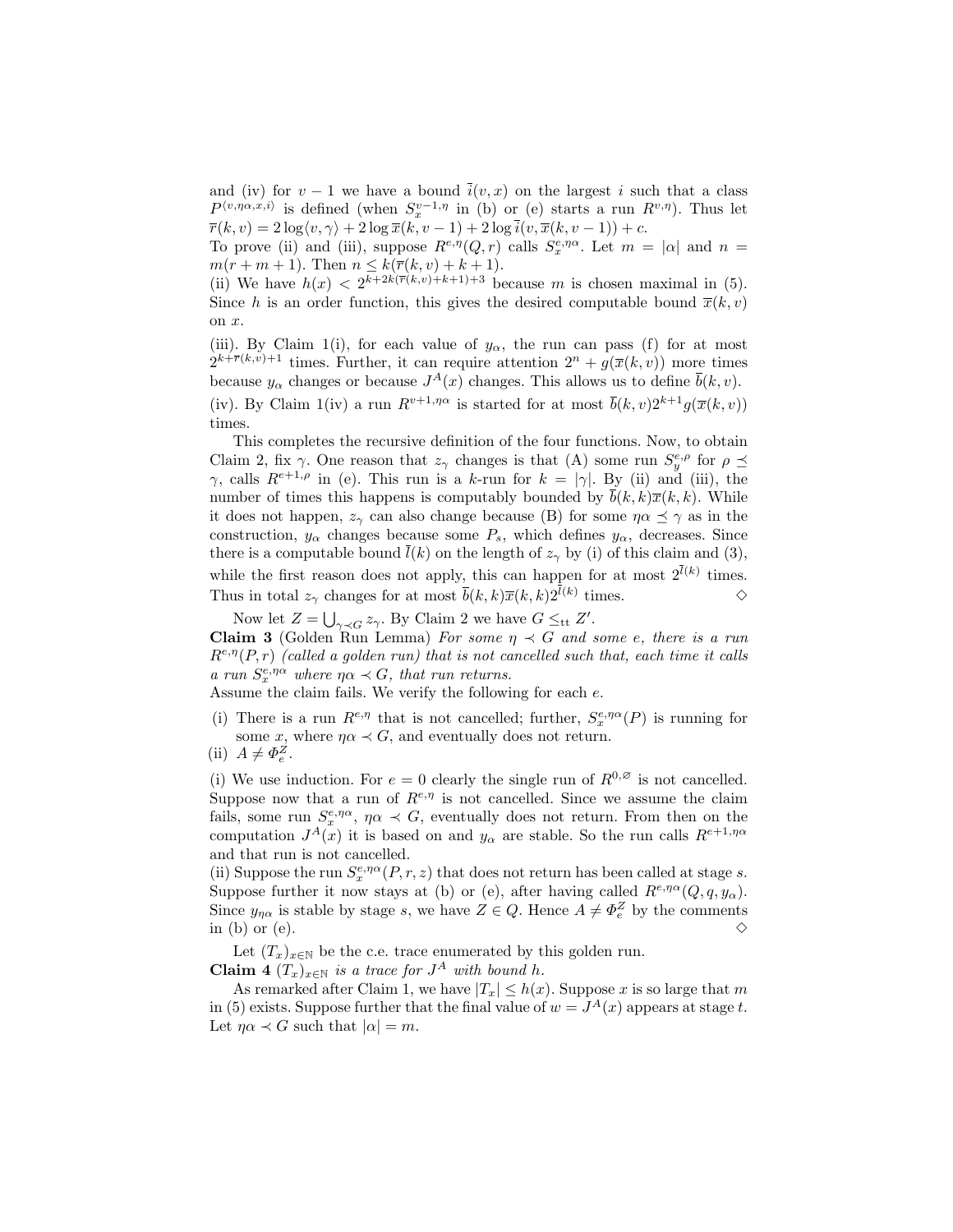and (iv) for  $v-1$  we have a bound  $\bar{i}(v, x)$  on the largest i such that a class  $P^{\langle v,\eta\alpha,x,i\rangle}$  is defined (when  $S_x^{v-1,\eta}$  in (b) or (e) starts a run  $R^{v,\eta}$ ). Thus let  $\overline{r}(k, v) = 2 \log \langle v, \gamma \rangle + 2 \log \overline{x}(k, v - 1) + 2 \log \overline{i}(v, \overline{x}(k, v - 1)) + c.$ 

To prove (ii) and (iii), suppose  $R^{e,\eta}(Q,r)$  calls  $S_x^{e,\eta\alpha}$ . Let  $m = |\alpha|$  and  $n =$  $m(r + m + 1)$ . Then  $n \leq k(\bar{r}(k, v) + k + 1)$ .

(ii) We have  $h(x) < 2^{k+2k(\overline{r}(k,v)+k+1)+3}$  because m is chosen maximal in (5). Since h is an order function, this gives the desired computable bound  $\overline{x}(k, v)$ on x.

(iii). By Claim 1(i), for each value of  $y_\alpha$ , the run can pass (f) for at most  $2^{k+\overline{r}(k,v)+1}$  times. Further, it can require attention  $2^n + g(\overline{x}(k,v))$  more times because  $y_\alpha$  changes or because  $J^A(x)$  changes. This allows us to define  $\bar{b}(k, v)$ . (iv). By Claim 1(iv) a run  $R^{v+1,\eta\alpha}$  is started for at most  $\bar{b}(k, v)2^{k+1}q(\bar{x}(k, v))$ times.

This completes the recursive definition of the four functions. Now, to obtain Claim 2, fix  $\gamma$ . One reason that  $z_{\gamma}$  changes is that (A) some run  $S_y^{e,\rho}$  for  $\rho \preceq$ γ, calls  $R^{e+1,\rho}$  in (e). This run is a k-run for  $k = |\gamma|$ . By (ii) and (iii), the number of times this happens is computably bounded by  $\bar{b}(k, k)\bar{x}(k, k)$ . While it does not happen,  $z_{\gamma}$  can also change because (B) for some  $\eta \alpha \preceq \gamma$  as in the construction,  $y_{\alpha}$  changes because some  $P_s$ , which defines  $y_{\alpha}$ , decreases. Since there is a computable bound  $l(k)$  on the length of  $z<sub>\gamma</sub>$  by (i) of this claim and (3), while the first reason does not apply, this can happen for at most  $2^{l(k)}$  times. Thus in total  $z_{\gamma}$  changes for at most  $\bar{b}(k, k)\bar{x}(k, k)2^{l(k)}$  times.  $\diamond$ 

Now let  $Z = \bigcup_{\gamma \prec G} z_{\gamma}$ . By Claim 2 we have  $G \leq_{\text{tt}} Z'$ . **Claim 3** (Golden Run Lemma) For some  $\eta \prec G$  and some e, there is a run  $R^{e,\eta}(P,r)$  (called a golden run) that is not cancelled such that, each time it calls a run  $S_x^{e,\eta\alpha}$  where  $\eta\alpha \prec G$ , that run returns.

Assume the claim fails. We verify the following for each  $e$ .

(i) There is a run  $R^{e,\eta}$  that is not cancelled; further,  $S_x^{e,\eta\alpha}(P)$  is running for some x, where  $\eta \alpha \prec G$ , and eventually does not return.

(i) We use induction. For  $e = 0$  clearly the single run of  $R^{0,\varnothing}$  is not cancelled. Suppose now that a run of  $R^{e,\eta}$  is not cancelled. Since we assume the claim fails, some run  $S_x^{e,\eta\alpha}$ ,  $\eta\alpha \prec G$ , eventually does not return. From then on the computation  $J^A(x)$  it is based on and  $y_\alpha$  are stable. So the run calls  $R^{e+1,\eta\alpha}$ and that run is not cancelled.

(ii) Suppose the run  $S_x^{e,\eta\alpha}(P,r,z)$  that does not return has been called at stage s. Suppose further it now stays at (b) or (e), after having called  $R^{e,\eta\alpha}(Q, q, y_{\alpha})$ . Since  $y_{\eta\alpha}$  is stable by stage s, we have  $Z \in Q$ . Hence  $A \neq \Phi_e^Z$  by the comments in (b) or  $(e)$ .

Let  $(T_x)_{x\in\mathbb{N}}$  be the c.e. trace enumerated by this golden run.

**Claim 4**  $(T_x)_{x \in \mathbb{N}}$  is a trace for  $J^A$  with bound h.

As remarked after Claim 1, we have  $|T_x| \leq h(x)$ . Suppose x is so large that m in (5) exists. Suppose further that the final value of  $w = J<sup>A</sup>(x)$  appears at stage t. Let  $\eta \alpha \prec G$  such that  $|\alpha|=m$ .

<sup>(</sup>ii)  $A \neq \Phi_e^Z$ .